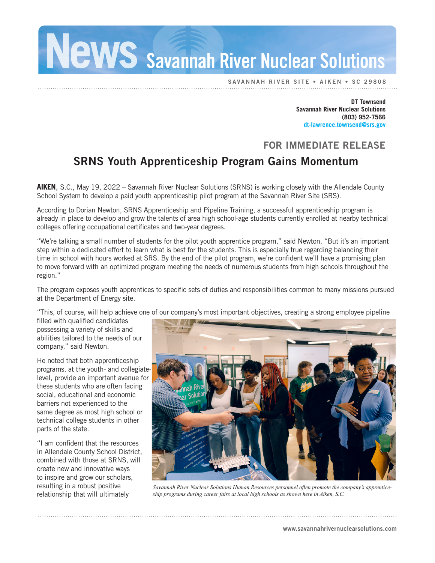NeWS Savannah River Nuclear Solutions

SAVANNAH RIVER SITE • AIKEN

**DT Townsend Savannah River Nuclear Solutions (803) 952-7566 dt-lawrence.townsend@srs.gov**

## FOR IMMEDIATE RELEASE

## SRNS Youth Apprenticeship Program Gains Momentum

**AIKEN**, S.C., May 19, 2022 – Savannah River Nuclear Solutions (SRNS) is working closely with the Allendale County School System to develop a paid youth apprenticeship pilot program at the Savannah River Site (SRS).

According to Dorian Newton, SRNS Apprenticeship and Pipeline Training, a successful apprenticeship program is already in place to develop and grow the talents of area high school-age students currently enrolled at nearby technical colleges offering occupational certificates and two-year degrees.

"We're talking a small number of students for the pilot youth apprentice program," said Newton. "But it's an important step within a dedicated effort to learn what is best for the students. This is especially true regarding balancing their time in school with hours worked at SRS. By the end of the pilot program, we're confident we'll have a promising plan to move forward with an optimized program meeting the needs of numerous students from high schools throughout the region."

The program exposes youth apprentices to specific sets of duties and responsibilities common to many missions pursued at the Department of Energy site.

"This, of course, will help achieve one of our company's most important objectives, creating a strong employee pipeline

filled with qualified candidates possessing a variety of skills and abilities tailored to the needs of our company," said Newton.

He noted that both apprenticeship programs, at the youth- and collegiatelevel, provide an important avenue for these students who are often facing social, educational and economic barriers not experienced to the same degree as most high school or technical college students in other parts of the state.

"I am confident that the resources in Allendale County School District, combined with those at SRNS, will create new and innovative ways to inspire and grow our scholars, resulting in a robust positive relationship that will ultimately



*Savannah River Nuclear Solutions Human Resources personnel often promote the company's apprenticeship programs during career fairs at local high schools as shown here in Aiken, S.C.*